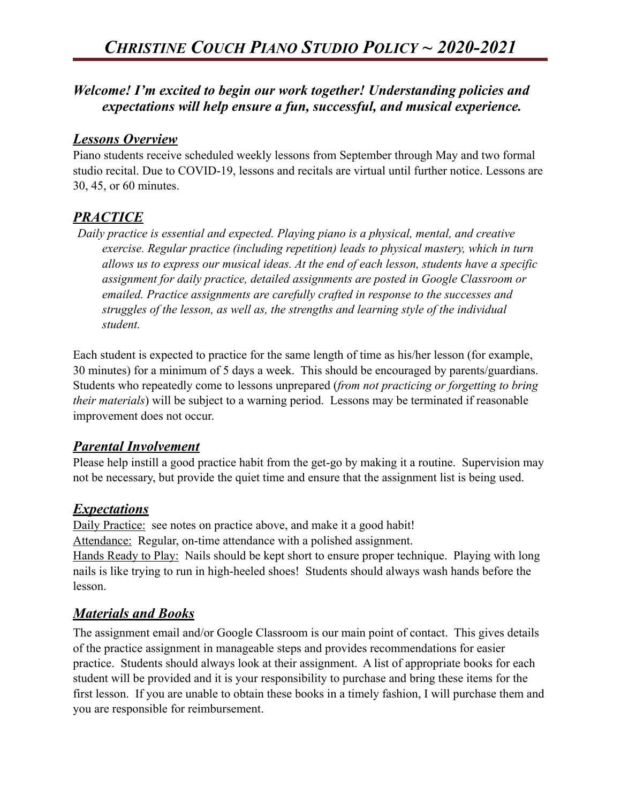### *Welcome! I'm excited to begin our work together! Understanding policies and expectations will help ensure a fun, successful, and musical experience.*

#### *Lessons Overview*

Piano students receive scheduled weekly lessons from September through May and two formal studio recital. Due to COVID-19, lessons and recitals are virtual until further notice. Lessons are 30, 45, or 60 minutes.

# *PRACTICE*

 *Daily practice is essential and expected. Playing piano is a physical, mental, and creative exercise. Regular practice (including repetition) leads to physical mastery, which in turn allows us to express our musical ideas. At the end of each lesson, students have a specific assignment for daily practice, detailed assignments are posted in Google Classroom or emailed. Practice assignments are carefully crafted in response to the successes and struggles of the lesson, as well as, the strengths and learning style of the individual student.* 

Each student is expected to practice for the same length of time as his/her lesson (for example, 30 minutes) for a minimum of 5 days a week. This should be encouraged by parents/guardians. Students who repeatedly come to lessons unprepared (*from not practicing or forgetting to bring their materials*) will be subject to a warning period. Lessons may be terminated if reasonable improvement does not occur.

### *Parental Involvement*

Please help instill a good practice habit from the get-go by making it a routine. Supervision may not be necessary, but provide the quiet time and ensure that the assignment list is being used.

### *Expectations*

Daily Practice: see notes on practice above, and make it a good habit! Attendance: Regular, on-time attendance with a polished assignment. Hands Ready to Play: Nails should be kept short to ensure proper technique. Playing with long nails is like trying to run in high-heeled shoes! Students should always wash hands before the lesson.

# *Materials and Books*

The assignment email and/or Google Classroom is our main point of contact. This gives details of the practice assignment in manageable steps and provides recommendations for easier practice. Students should always look at their assignment. A list of appropriate books for each student will be provided and it is your responsibility to purchase and bring these items for the first lesson. If you are unable to obtain these books in a timely fashion, I will purchase them and you are responsible for reimbursement.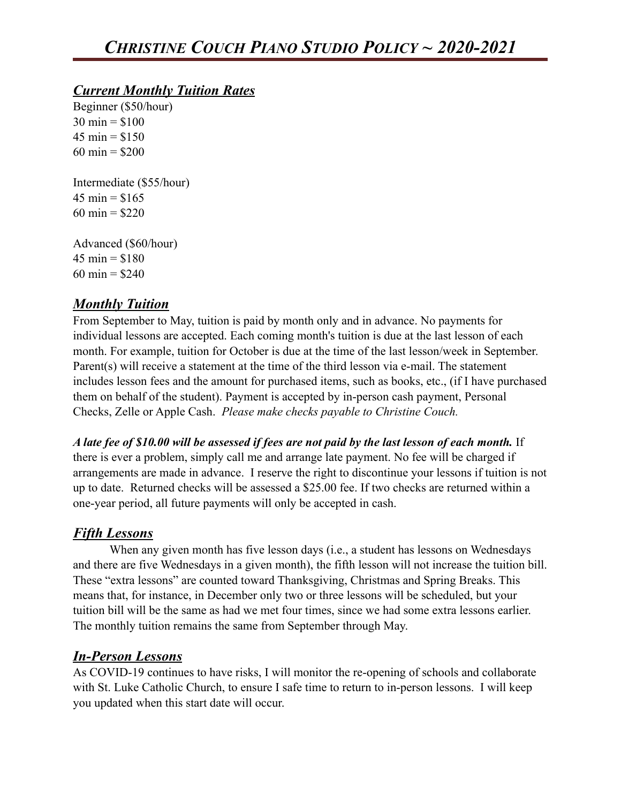### *Current Monthly Tuition Rates*

Beginner (\$50/hour)  $30 \text{ min} = $100$  $45 \text{ min} = $150$  $60 \text{ min} = $200$ 

Intermediate (\$55/hour)  $45 \text{ min} = $165$ 60 min =  $$220$ 

Advanced (\$60/hour)  $45 \text{ min} = $180$ 60 min =  $$240$ 

### *Monthly Tuition*

From September to May, tuition is paid by month only and in advance. No payments for individual lessons are accepted. Each coming month's tuition is due at the last lesson of each month. For example, tuition for October is due at the time of the last lesson/week in September. Parent(s) will receive a statement at the time of the third lesson via e-mail. The statement includes lesson fees and the amount for purchased items, such as books, etc., (if I have purchased them on behalf of the student). Payment is accepted by in-person cash payment, Personal Checks, Zelle or Apple Cash. *Please make checks payable to Christine Couch.* 

*A late fee of \$10.00 will be assessed if fees are not paid by the last lesson of each month.* If there is ever a problem, simply call me and arrange late payment. No fee will be charged if arrangements are made in advance. I reserve the right to discontinue your lessons if tuition is not up to date. Returned checks will be assessed a \$25.00 fee. If two checks are returned within a one-year period, all future payments will only be accepted in cash.

### *Fifth Lessons*

When any given month has five lesson days (i.e., a student has lessons on Wednesdays and there are five Wednesdays in a given month), the fifth lesson will not increase the tuition bill. These "extra lessons" are counted toward Thanksgiving, Christmas and Spring Breaks. This means that, for instance, in December only two or three lessons will be scheduled, but your tuition bill will be the same as had we met four times, since we had some extra lessons earlier. The monthly tuition remains the same from September through May.

# *In-Person Lessons*

As COVID-19 continues to have risks, I will monitor the re-opening of schools and collaborate with St. Luke Catholic Church, to ensure I safe time to return to in-person lessons. I will keep you updated when this start date will occur.